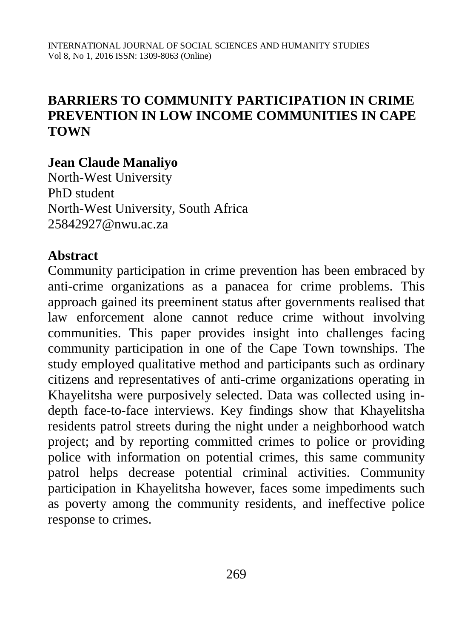# **BARRIERS TO COMMUNITY PARTICIPATION IN CRIME PREVENTION IN LOW INCOME COMMUNITIES IN CAPE TOWN**

### **Jean Claude Manaliyo**

North-West University PhD student North-West University, South Africa [25842927@nwu.ac.za](mailto:25842927@nwu.ac.za)

### **Abstract**

Community participation in crime prevention has been embraced by anti-crime organizations as a panacea for crime problems. This approach gained its preeminent status after governments realised that law enforcement alone cannot reduce crime without involving communities. This paper provides insight into challenges facing community participation in one of the Cape Town townships. The study employed qualitative method and participants such as ordinary citizens and representatives of anti-crime organizations operating in Khayelitsha were purposively selected. Data was collected using indepth face-to-face interviews. Key findings show that Khayelitsha residents patrol streets during the night under a neighborhood watch project; and by reporting committed crimes to police or providing police with information on potential crimes, this same community patrol helps decrease potential criminal activities. Community participation in Khayelitsha however, faces some impediments such as poverty among the community residents, and ineffective police response to crimes.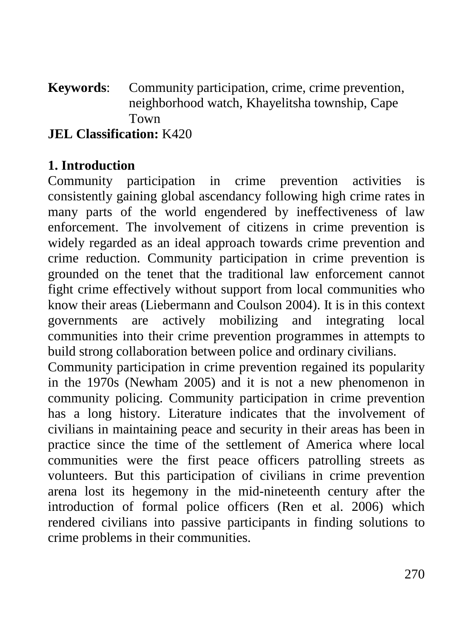#### **Keywords**: Community participation, crime, crime prevention, neighborhood watch, Khayelitsha township, Cape Town **JEL Classification:** K420

### **1. Introduction**

Community participation in crime prevention activities is consistently gaining global ascendancy following high crime rates in many parts of the world engendered by ineffectiveness of law enforcement. The involvement of citizens in crime prevention is widely regarded as an ideal approach towards crime prevention and crime reduction. Community participation in crime prevention is grounded on the tenet that the traditional law enforcement cannot fight crime effectively without support from local communities who know their areas (Liebermann and Coulson 2004). It is in this context governments are actively mobilizing and integrating local communities into their crime prevention programmes in attempts to build strong collaboration between police and ordinary civilians.

Community participation in crime prevention regained its popularity in the 1970s (Newham 2005) and it is not a new phenomenon in community policing. Community participation in crime prevention has a long history. Literature indicates that the involvement of civilians in maintaining peace and security in their areas has been in practice since the time of the settlement of America where local communities were the first peace officers patrolling streets as volunteers. But this participation of civilians in crime prevention arena lost its hegemony in the mid-nineteenth century after the introduction of formal police officers (Ren et al. 2006) which rendered civilians into passive participants in finding solutions to crime problems in their communities.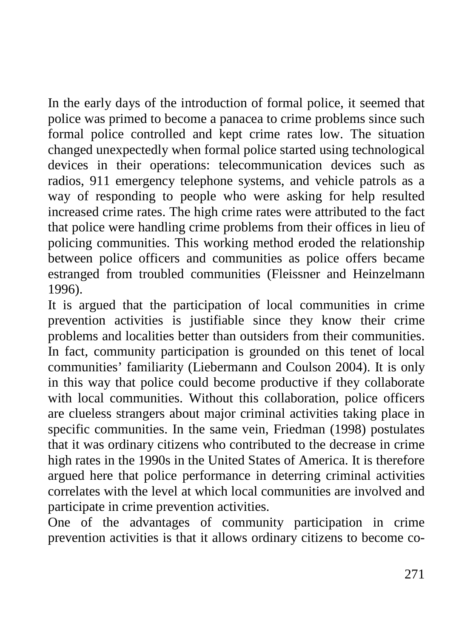In the early days of the introduction of formal police, it seemed that police was primed to become a panacea to crime problems since such formal police controlled and kept crime rates low. The situation changed unexpectedly when formal police started using technological devices in their operations: telecommunication devices such as radios, 911 emergency telephone systems, and vehicle patrols as a way of responding to people who were asking for help resulted increased crime rates. The high crime rates were attributed to the fact that police were handling crime problems from their offices in lieu of policing communities. This working method eroded the relationship between police officers and communities as police offers became estranged from troubled communities (Fleissner and Heinzelmann 1996).

It is argued that the participation of local communities in crime prevention activities is justifiable since they know their crime problems and localities better than outsiders from their communities. In fact, community participation is grounded on this tenet of local communities' familiarity (Liebermann and Coulson 2004). It is only in this way that police could become productive if they collaborate with local communities. Without this collaboration, police officers are clueless strangers about major criminal activities taking place in specific communities. In the same vein, Friedman (1998) postulates that it was ordinary citizens who contributed to the decrease in crime high rates in the 1990s in the United States of America. It is therefore argued here that police performance in deterring criminal activities correlates with the level at which local communities are involved and participate in crime prevention activities.

One of the advantages of community participation in crime prevention activities is that it allows ordinary citizens to become co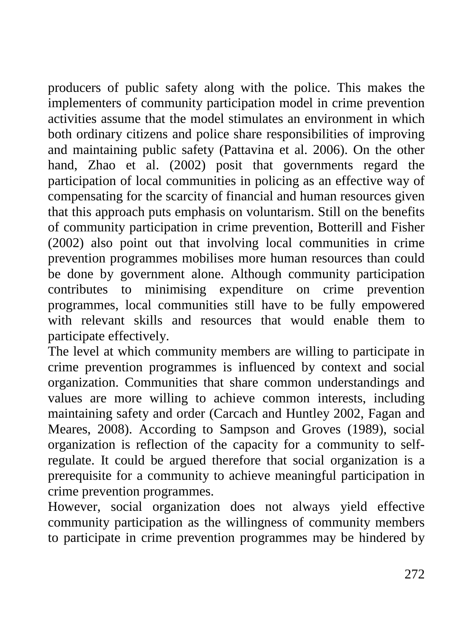producers of public safety along with the police. This makes the implementers of community participation model in crime prevention activities assume that the model stimulates an environment in which both ordinary citizens and police share responsibilities of improving and maintaining public safety (Pattavina et al. 2006). On the other hand, Zhao et al. (2002) posit that governments regard the participation of local communities in policing as an effective way of compensating for the scarcity of financial and human resources given that this approach puts emphasis on voluntarism. Still on the benefits of community participation in crime prevention, Botterill and Fisher (2002) also point out that involving local communities in crime prevention programmes mobilises more human resources than could be done by government alone. Although community participation contributes to minimising expenditure on crime prevention programmes, local communities still have to be fully empowered with relevant skills and resources that would enable them to participate effectively.

The level at which community members are willing to participate in crime prevention programmes is influenced by context and social organization. Communities that share common understandings and values are more willing to achieve common interests, including maintaining safety and order (Carcach and Huntley 2002, Fagan and Meares, 2008). According to Sampson and Groves (1989), social organization is reflection of the capacity for a community to selfregulate. It could be argued therefore that social organization is a prerequisite for a community to achieve meaningful participation in crime prevention programmes.

However, social organization does not always yield effective community participation as the willingness of community members to participate in crime prevention programmes may be hindered by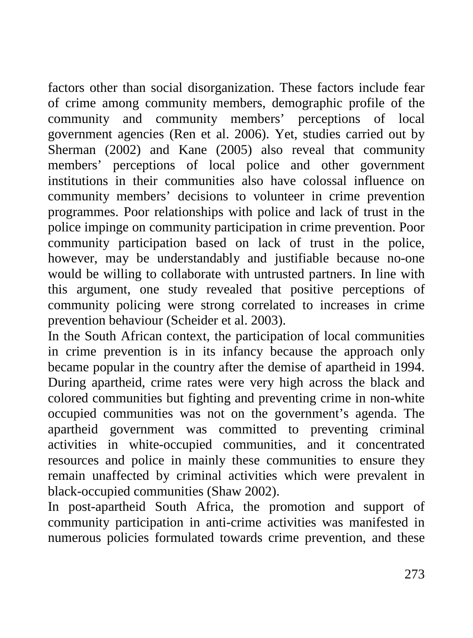factors other than social disorganization. These factors include fear of crime among community members, demographic profile of the community and community members' perceptions of local government agencies (Ren et al. 2006). Yet, studies carried out by Sherman (2002) and Kane (2005) also reveal that community members' perceptions of local police and other government institutions in their communities also have colossal influence on community members' decisions to volunteer in crime prevention programmes. Poor relationships with police and lack of trust in the police impinge on community participation in crime prevention. Poor community participation based on lack of trust in the police, however, may be understandably and justifiable because no-one would be willing to collaborate with untrusted partners. In line with this argument, one study revealed that positive perceptions of community policing were strong correlated to increases in crime prevention behaviour (Scheider et al. 2003).

In the South African context, the participation of local communities in crime prevention is in its infancy because the approach only became popular in the country after the demise of apartheid in 1994. During apartheid, crime rates were very high across the black and colored communities but fighting and preventing crime in non-white occupied communities was not on the government's agenda. The apartheid government was committed to preventing criminal activities in white-occupied communities, and it concentrated resources and police in mainly these communities to ensure they remain unaffected by criminal activities which were prevalent in black-occupied communities (Shaw 2002).

In post-apartheid South Africa, the promotion and support of community participation in anti-crime activities was manifested in numerous policies formulated towards crime prevention, and these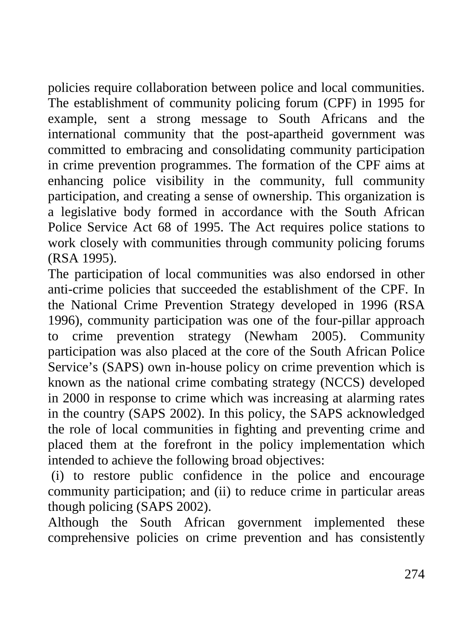policies require collaboration between police and local communities. The establishment of community policing forum (CPF) in 1995 for example, sent a strong message to South Africans and the international community that the post-apartheid government was committed to embracing and consolidating community participation in crime prevention programmes. The formation of the CPF aims at enhancing police visibility in the community, full community participation, and creating a sense of ownership. This organization is a legislative body formed in accordance with the South African Police Service Act 68 of 1995. The Act requires police stations to work closely with communities through community policing forums (RSA 1995).

The participation of local communities was also endorsed in other anti-crime policies that succeeded the establishment of the CPF. In the National Crime Prevention Strategy developed in 1996 (RSA 1996), community participation was one of the four-pillar approach to crime prevention strategy (Newham 2005). Community participation was also placed at the core of the South African Police Service's (SAPS) own in-house policy on crime prevention which is known as the national crime combating strategy (NCCS) developed in 2000 in response to crime which was increasing at alarming rates in the country (SAPS 2002). In this policy, the SAPS acknowledged the role of local communities in fighting and preventing crime and placed them at the forefront in the policy implementation which intended to achieve the following broad objectives:

(i) to restore public confidence in the police and encourage community participation; and (ii) to reduce crime in particular areas though policing (SAPS 2002).

Although the South African government implemented these comprehensive policies on crime prevention and has consistently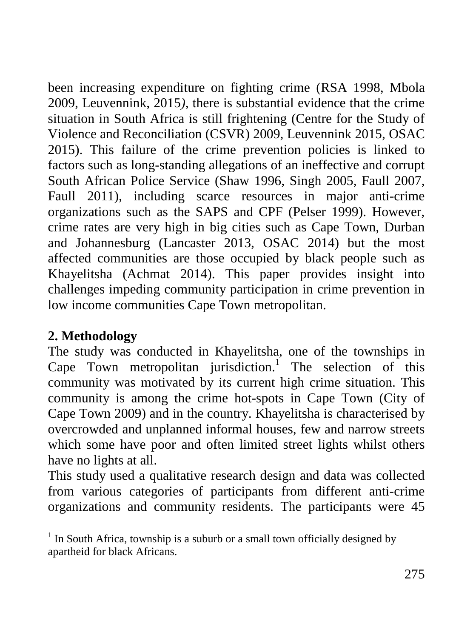been increasing expenditure on fighting crime (RSA 1998, Mbola 2009, Leuvennink, 2015*)*, there is substantial evidence that the crime situation in South Africa is still frightening (Centre for the Study of Violence and Reconciliation (CSVR) 2009, Leuvennink 2015, OSAC 2015). This failure of the crime prevention policies is linked to factors such as long-standing allegations of an ineffective and corrupt South African Police Service (Shaw 1996, Singh 2005, Faull 2007, Faull 2011), including scarce resources in major anti-crime organizations such as the SAPS and CPF (Pelser 1999). However, crime rates are very high in big cities such as Cape Town, Durban and Johannesburg (Lancaster 2013, OSAC 2014) but the most affected communities are those occupied by black people such as Khayelitsha (Achmat 2014). This paper provides insight into challenges impeding community participation in crime prevention in low income communities Cape Town metropolitan.

# **2. Methodology**

The study was conducted in Khayelitsha, one of the townships in Cape Town metropolitan jurisdiction. <sup>1</sup> The selection of this community was motivated by its current high crime situation. This community is among the crime hot-spots in Cape Town (City of Cape Town 2009) and in the country. Khayelitsha is characterised by overcrowded and unplanned informal houses, few and narrow streets which some have poor and often limited street lights whilst others have no lights at all.

This study used a qualitative research design and data was collected from various categories of participants from different anti-crime organizations and community residents. The participants were 45

 $1$  In South Africa, township is a suburb or a small town officially designed by apartheid for black Africans.  $\overline{a}$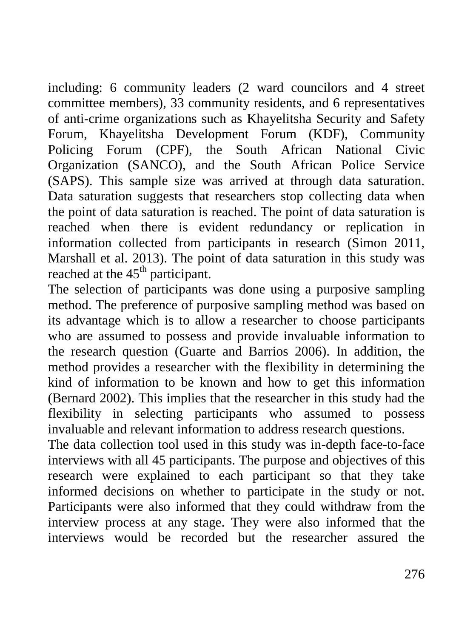including: 6 community leaders (2 ward councilors and 4 street committee members), 33 community residents, and 6 representatives of anti-crime organizations such as Khayelitsha Security and Safety Forum, Khayelitsha Development Forum (KDF), Community Policing Forum (CPF), the South African National Civic Organization (SANCO), and the South African Police Service (SAPS). This sample size was arrived at through data saturation. Data saturation suggests that researchers stop collecting data when the point of data saturation is reached. The point of data saturation is reached when there is evident redundancy or replication in information collected from participants in research (Simon 2011, Marshall et al. 2013). The point of data saturation in this study was reached at the  $45<sup>th</sup>$  participant.

The selection of participants was done using a purposive sampling method. The preference of purposive sampling method was based on its advantage which is to allow a researcher to choose participants who are assumed to possess and provide invaluable information to the research question (Guarte and Barrios 2006). In addition, the method provides a researcher with the flexibility in determining the kind of information to be known and how to get this information (Bernard 2002). This implies that the researcher in this study had the flexibility in selecting participants who assumed to possess invaluable and relevant information to address research questions.

The data collection tool used in this study was in-depth face-to-face interviews with all 45 participants. The purpose and objectives of this research were explained to each participant so that they take informed decisions on whether to participate in the study or not. Participants were also informed that they could withdraw from the interview process at any stage. They were also informed that the interviews would be recorded but the researcher assured the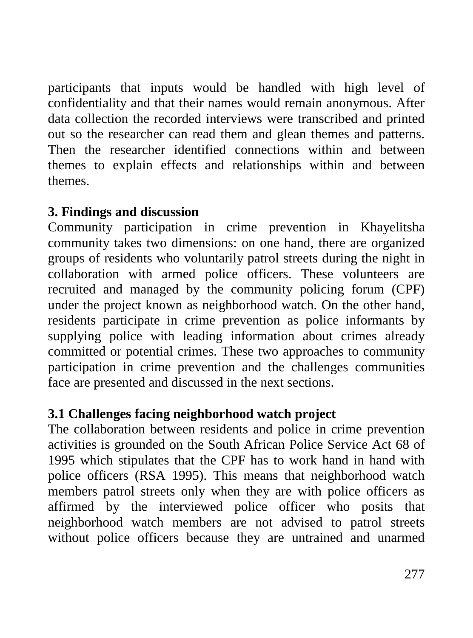participants that inputs would be handled with high level of confidentiality and that their names would remain anonymous. After data collection the recorded interviews were transcribed and printed out so the researcher can read them and glean themes and patterns. Then the researcher identified connections within and between themes to explain effects and relationships within and between themes.

# **3. Findings and discussion**

Community participation in crime prevention in Khayelitsha community takes two dimensions: on one hand, there are organized groups of residents who voluntarily patrol streets during the night in collaboration with armed police officers. These volunteers are recruited and managed by the community policing forum (CPF) under the project known as neighborhood watch. On the other hand, residents participate in crime prevention as police informants by supplying police with leading information about crimes already committed or potential crimes. These two approaches to community participation in crime prevention and the challenges communities face are presented and discussed in the next sections.

# **3.1 Challenges facing neighborhood watch project**

The collaboration between residents and police in crime prevention activities is grounded on the South African Police Service Act 68 of 1995 which stipulates that the CPF has to work hand in hand with police officers (RSA 1995). This means that neighborhood watch members patrol streets only when they are with police officers as affirmed by the interviewed police officer who posits that neighborhood watch members are not advised to patrol streets without police officers because they are untrained and unarmed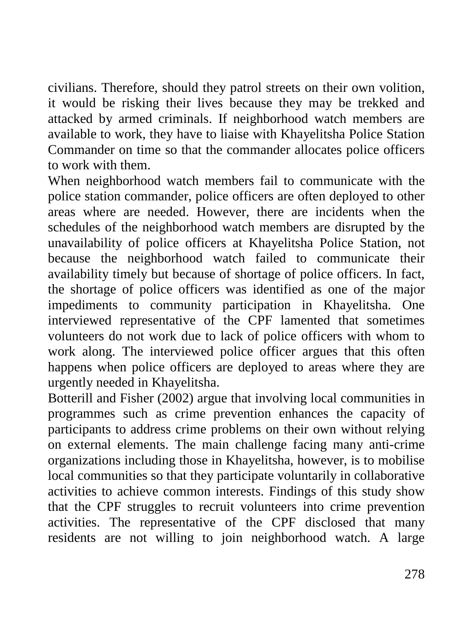civilians. Therefore, should they patrol streets on their own volition, it would be risking their lives because they may be trekked and attacked by armed criminals. If neighborhood watch members are available to work, they have to liaise with Khayelitsha Police Station Commander on time so that the commander allocates police officers to work with them.

When neighborhood watch members fail to communicate with the police station commander, police officers are often deployed to other areas where are needed. However, there are incidents when the schedules of the neighborhood watch members are disrupted by the unavailability of police officers at Khayelitsha Police Station, not because the neighborhood watch failed to communicate their availability timely but because of shortage of police officers. In fact, the shortage of police officers was identified as one of the major impediments to community participation in Khayelitsha. One interviewed representative of the CPF lamented that sometimes volunteers do not work due to lack of police officers with whom to work along. The interviewed police officer argues that this often happens when police officers are deployed to areas where they are urgently needed in Khayelitsha.

Botterill and Fisher (2002) argue that involving local communities in programmes such as crime prevention enhances the capacity of participants to address crime problems on their own without relying on external elements. The main challenge facing many anti-crime organizations including those in Khayelitsha, however, is to mobilise local communities so that they participate voluntarily in collaborative activities to achieve common interests. Findings of this study show that the CPF struggles to recruit volunteers into crime prevention activities. The representative of the CPF disclosed that many residents are not willing to join neighborhood watch. A large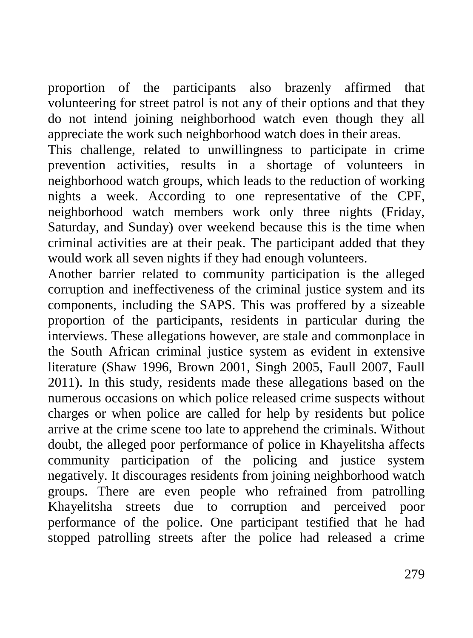proportion of the participants also brazenly affirmed that volunteering for street patrol is not any of their options and that they do not intend joining neighborhood watch even though they all appreciate the work such neighborhood watch does in their areas.

This challenge, related to unwillingness to participate in crime prevention activities, results in a shortage of volunteers in neighborhood watch groups, which leads to the reduction of working nights a week. According to one representative of the CPF, neighborhood watch members work only three nights (Friday, Saturday, and Sunday) over weekend because this is the time when criminal activities are at their peak. The participant added that they would work all seven nights if they had enough volunteers.

Another barrier related to community participation is the alleged corruption and ineffectiveness of the criminal justice system and its components, including the SAPS. This was proffered by a sizeable proportion of the participants, residents in particular during the interviews. These allegations however, are stale and commonplace in the South African criminal justice system as evident in extensive literature (Shaw 1996, Brown 2001, Singh 2005, Faull 2007, Faull 2011). In this study, residents made these allegations based on the numerous occasions on which police released crime suspects without charges or when police are called for help by residents but police arrive at the crime scene too late to apprehend the criminals. Without doubt, the alleged poor performance of police in Khayelitsha affects community participation of the policing and justice system negatively. It discourages residents from joining neighborhood watch groups. There are even people who refrained from patrolling Khayelitsha streets due to corruption and perceived poor performance of the police. One participant testified that he had stopped patrolling streets after the police had released a crime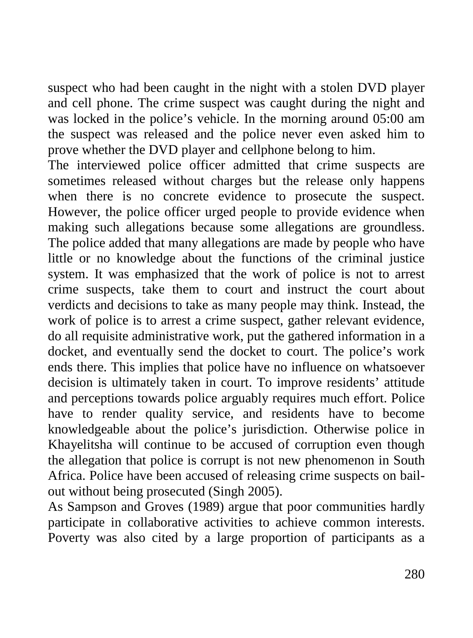suspect who had been caught in the night with a stolen DVD player and cell phone. The crime suspect was caught during the night and was locked in the police's vehicle. In the morning around 05:00 am the suspect was released and the police never even asked him to prove whether the DVD player and cellphone belong to him.

The interviewed police officer admitted that crime suspects are sometimes released without charges but the release only happens when there is no concrete evidence to prosecute the suspect. However, the police officer urged people to provide evidence when making such allegations because some allegations are groundless. The police added that many allegations are made by people who have little or no knowledge about the functions of the criminal justice system. It was emphasized that the work of police is not to arrest crime suspects, take them to court and instruct the court about verdicts and decisions to take as many people may think. Instead, the work of police is to arrest a crime suspect, gather relevant evidence, do all requisite administrative work, put the gathered information in a docket, and eventually send the docket to court. The police's work ends there. This implies that police have no influence on whatsoever decision is ultimately taken in court. To improve residents' attitude and perceptions towards police arguably requires much effort. Police have to render quality service, and residents have to become knowledgeable about the police's jurisdiction. Otherwise police in Khayelitsha will continue to be accused of corruption even though the allegation that police is corrupt is not new phenomenon in South Africa. Police have been accused of releasing crime suspects on bailout without being prosecuted (Singh 2005).

As Sampson and Groves (1989) argue that poor communities hardly participate in collaborative activities to achieve common interests. Poverty was also cited by a large proportion of participants as a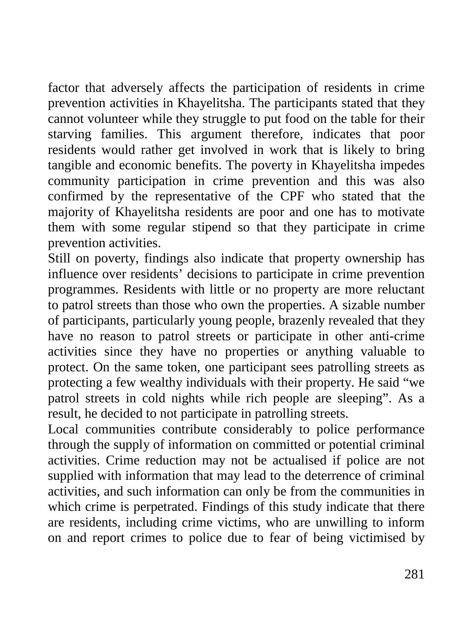factor that adversely affects the participation of residents in crime prevention activities in Khayelitsha. The participants stated that they cannot volunteer while they struggle to put food on the table for their starving families. This argument therefore, indicates that poor residents would rather get involved in work that is likely to bring tangible and economic benefits. The poverty in Khayelitsha impedes community participation in crime prevention and this was also confirmed by the representative of the CPF who stated that the majority of Khayelitsha residents are poor and one has to motivate them with some regular stipend so that they participate in crime prevention activities.

Still on poverty, findings also indicate that property ownership has influence over residents' decisions to participate in crime prevention programmes. Residents with little or no property are more reluctant to patrol streets than those who own the properties. A sizable number of participants, particularly young people, brazenly revealed that they have no reason to patrol streets or participate in other anti-crime activities since they have no properties or anything valuable to protect. On the same token, one participant sees patrolling streets as protecting a few wealthy individuals with their property. He said "we patrol streets in cold nights while rich people are sleeping". As a result, he decided to not participate in patrolling streets.

Local communities contribute considerably to police performance through the supply of information on committed or potential criminal activities. Crime reduction may not be actualised if police are not supplied with information that may lead to the deterrence of criminal activities, and such information can only be from the communities in which crime is perpetrated. Findings of this study indicate that there are residents, including crime victims, who are unwilling to inform on and report crimes to police due to fear of being victimised by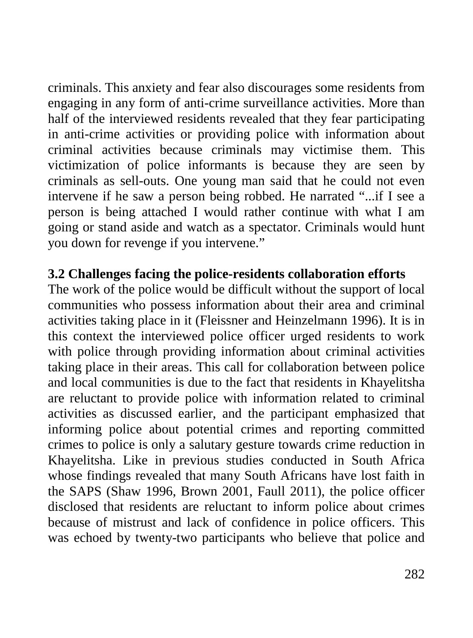criminals. This anxiety and fear also discourages some residents from engaging in any form of anti-crime surveillance activities. More than half of the interviewed residents revealed that they fear participating in anti-crime activities or providing police with information about criminal activities because criminals may victimise them. This victimization of police informants is because they are seen by criminals as sell-outs. One young man said that he could not even intervene if he saw a person being robbed. He narrated "...if I see a person is being attached I would rather continue with what I am going or stand aside and watch as a spectator. Criminals would hunt you down for revenge if you intervene."

### **3.2 Challenges facing the police-residents collaboration efforts**

The work of the police would be difficult without the support of local communities who possess information about their area and criminal activities taking place in it (Fleissner and Heinzelmann 1996). It is in this context the interviewed police officer urged residents to work with police through providing information about criminal activities taking place in their areas. This call for collaboration between police and local communities is due to the fact that residents in Khayelitsha are reluctant to provide police with information related to criminal activities as discussed earlier, and the participant emphasized that informing police about potential crimes and reporting committed crimes to police is only a salutary gesture towards crime reduction in Khayelitsha. Like in previous studies conducted in South Africa whose findings revealed that many South Africans have lost faith in the SAPS (Shaw 1996, Brown 2001, Faull 2011), the police officer disclosed that residents are reluctant to inform police about crimes because of mistrust and lack of confidence in police officers. This was echoed by twenty-two participants who believe that police and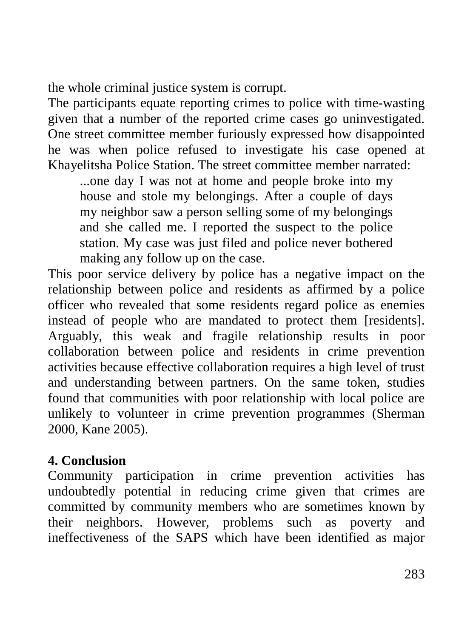the whole criminal justice system is corrupt.

The participants equate reporting crimes to police with time-wasting given that a number of the reported crime cases go uninvestigated. One street committee member furiously expressed how disappointed he was when police refused to investigate his case opened at Khayelitsha Police Station. The street committee member narrated:

...one day I was not at home and people broke into my house and stole my belongings. After a couple of days my neighbor saw a person selling some of my belongings and she called me. I reported the suspect to the police station. My case was just filed and police never bothered making any follow up on the case.

This poor service delivery by police has a negative impact on the relationship between police and residents as affirmed by a police officer who revealed that some residents regard police as enemies instead of people who are mandated to protect them [residents]. Arguably, this weak and fragile relationship results in poor collaboration between police and residents in crime prevention activities because effective collaboration requires a high level of trust and understanding between partners. On the same token, studies found that communities with poor relationship with local police are unlikely to volunteer in crime prevention programmes (Sherman 2000, Kane 2005).

#### **4. Conclusion**

Community participation in crime prevention activities has undoubtedly potential in reducing crime given that crimes are committed by community members who are sometimes known by their neighbors. However, problems such as poverty and ineffectiveness of the SAPS which have been identified as major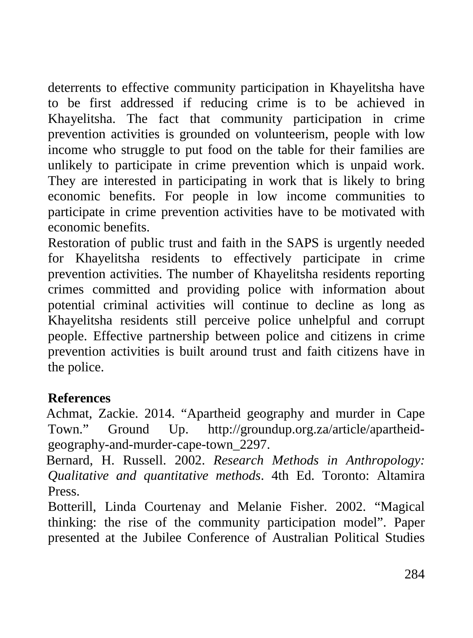deterrents to effective community participation in Khayelitsha have to be first addressed if reducing crime is to be achieved in Khayelitsha. The fact that community participation in crime prevention activities is grounded on volunteerism, people with low income who struggle to put food on the table for their families are unlikely to participate in crime prevention which is unpaid work. They are interested in participating in work that is likely to bring economic benefits. For people in low income communities to participate in crime prevention activities have to be motivated with economic benefits.

Restoration of public trust and faith in the SAPS is urgently needed for Khayelitsha residents to effectively participate in crime prevention activities. The number of Khayelitsha residents reporting crimes committed and providing police with information about potential criminal activities will continue to decline as long as Khayelitsha residents still perceive police unhelpful and corrupt people. Effective partnership between police and citizens in crime prevention activities is built around trust and faith citizens have in the police.

# **References**

 Achmat, Zackie. 2014. "Apartheid geography and murder in Cape Town." Ground Up. [http://groundup.org.za/article/apartheid](http://groundup.org.za/article/apartheid-geography-and-murder-cape-town_2297)[geography-and-murder-cape-town\\_2297.](http://groundup.org.za/article/apartheid-geography-and-murder-cape-town_2297)

 Bernard, H. Russell. 2002. *Research Methods in Anthropology: Qualitative and quantitative methods*. 4th Ed. Toronto: Altamira Press.

Botterill, Linda Courtenay and Melanie Fisher. 2002. "Magical thinking: the rise of the community participation model". Paper presented at the Jubilee Conference of Australian Political Studies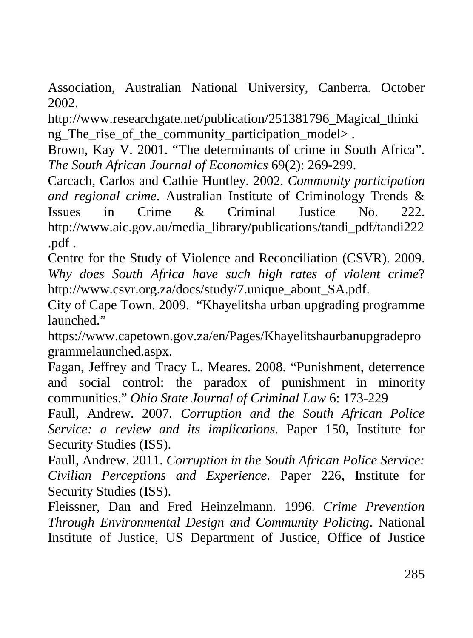Association, Australian National University, Canberra. October 2002.

[http://www.researchgate.net/publication/251381796\\_Magical\\_thinki](http://www.researchgate.net/publication/251381796_Magical_thinking_The_rise_of_the_community_participation_model) ng The rise of the community participation models.

Brown, Kay V. 2001. "The determinants of crime in South Africa". *The South African Journal of Economics* 69(2): 269-299.

Carcach, Carlos and Cathie Huntley. 2002. *Community participation and regional crime*. Australian Institute of Criminology Trends & Issues in Crime & Criminal Justice No. 222. [http://www.aic.gov.au/media\\_library/publications/tandi\\_pdf/tandi222](http://www.aic.gov.au/media_library/publications/tandi_pdf/tandi222.pdf) [.pdf](http://www.aic.gov.au/media_library/publications/tandi_pdf/tandi222.pdf) .

Centre for the Study of Violence and Reconciliation (CSVR). 2009. *Why does South Africa have such high rates of violent crime*? [http://www.csvr.org.za/docs/study/7.unique\\_about\\_SA.pdf.](http://www.csvr.org.za/docs/study/7.unique_about_SA.pdf)

City of Cape Town. 2009. "Khayelitsha urban upgrading programme launched<sup>["](https://www.capetown.gov.za/en/Pages/Khayelitshaurbanupgradeprogrammelaunched.aspx.)</sup>

[https://www.capetown.gov.za/en/Pages/Khayelitshaurbanupgradepro](https://www.capetown.gov.za/en/Pages/Khayelitshaurbanupgradeprogrammelaunched.aspx.) [grammelaunched.aspx.](https://www.capetown.gov.za/en/Pages/Khayelitshaurbanupgradeprogrammelaunched.aspx.)

Fagan, Jeffrey and Tracy L. Meares. 2008. "Punishment, deterrence and social control: the paradox of punishment in minority communities." *Ohio State Journal of Criminal Law* 6: 173-229

Faull, Andrew. 2007. *Corruption and the South African Police Service: a review and its implications*. Paper 150, Institute for Security Studies (ISS).

Faull, Andrew. 2011. *Corruption in the South African Police Service: Civilian Perceptions and Experience*. Paper 226, Institute for Security Studies (ISS).

Fleissner, Dan and Fred Heinzelmann. 1996. *Crime Prevention Through Environmental Design and Community Policing*. National Institute of Justice, US Department of Justice, Office of Justice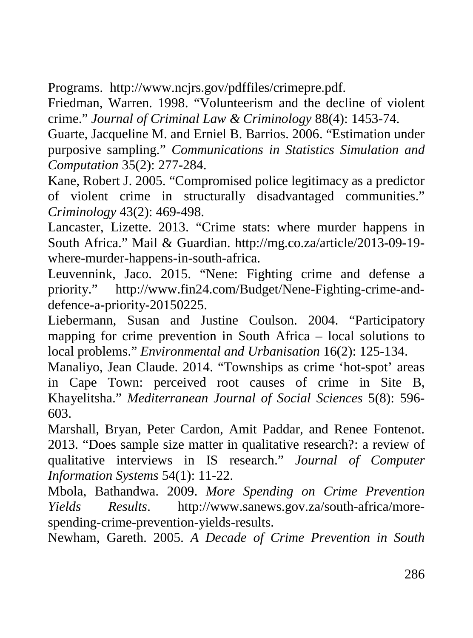Programs. [http://www.ncjrs.gov/pdffiles/crimepre.pdf.](http://www.ncjrs.gov/pdffiles/crimepre.pdf)

Friedman, Warren. 1998. "Volunteerism and the decline of violent crime." *Journal of Criminal Law & Criminology* 88(4): 1453-74.

Guarte, Jacqueline M. and Erniel B. Barrios. 2006. "Estimation under purposive sampling." *Communications in Statistics Simulation and Computation* 35(2): 277-284.

Kane, Robert J. 2005. "Compromised police legitimacy as a predictor of violent crime in structurally disadvantaged communities." *Criminology* 43(2): 469-498.

Lancaster, Lizette. 2013. "Crime stats: where murder happens in South Africa." Mail & Guardian. [http://mg.co.za/article/2013-09-19](http://mg.co.za/article/2013-09-19-where-murder-happens-in-south-africa) [where-murder-happens-in-south-africa.](http://mg.co.za/article/2013-09-19-where-murder-happens-in-south-africa)

Leuvennink, Jaco. 2015. "Nene: Fighting crime and defense a priority." [http://www.fin24.com/Budget/Nene-Fighting-crime-and](http://www.fin24.com/Budget/Nene-Fighting-crime-and-defence-a-priority-20150225)[defence-a-priority-20150225.](http://www.fin24.com/Budget/Nene-Fighting-crime-and-defence-a-priority-20150225)

Liebermann, Susan and Justine Coulson. 2004. "Participatory mapping for crime prevention in South Africa – local solutions to local problems." *Environmental and Urbanisation* 16(2): 125-134.

Manaliyo, Jean Claude. 2014. "Townships as crime 'hot-spot' areas in Cape Town: perceived root causes of crime in Site B, Khayelitsha." *Mediterranean Journal of Social Sciences* 5(8): 596- 603.

Marshall, Bryan, Peter Cardon, Amit Paddar, and Renee Fontenot. 2013. "Does sample size matter in qualitative research?: a review of qualitative interviews in IS research." *Journal of Computer Information Systems* 54(1): 11-22.

Mbola, Bathandwa. 2009. *More Spending on Crime Prevention Yields Results*. [http://www.sanews.gov.za/south-africa/more](http://www.sanews.gov.za/south-africa/more-spending-crime-prevention-yields-results)[spending-crime-prevention-yields-results.](http://www.sanews.gov.za/south-africa/more-spending-crime-prevention-yields-results)

Newham, Gareth. 2005. *A Decade of Crime Prevention in South*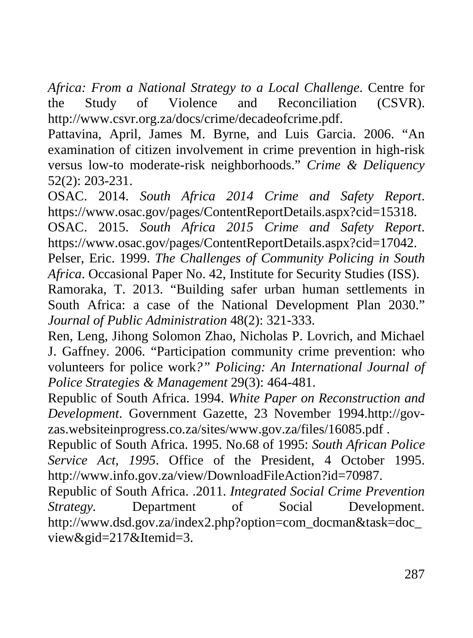*Africa: From a National Strategy to a Local Challenge*. Centre for the Study of Violence and Reconciliation (CSVR). [http://www.csvr.org.za/docs/crime/decadeofcrime.pdf.](http://www.csvr.org.za/docs/crime/decadeofcrime.pdf)

Pattavina, April, James M. Byrne, and Luis Garcia. 2006. "An examination of citizen involvement in crime prevention in high-risk versus low-to moderate-risk neighborhoods." *Crime & Deliquency* 52(2): 203-231.

OSAC. 2014. *South Africa 2014 Crime and Safety Report*. [https://www.osac.gov/pages/ContentReportDetails.aspx?cid=15318.](https://www.osac.gov/pages/ContentReportDetails.aspx?cid=15318)

OSAC. 2015. *South Africa 2015 Crime and Safety Report*. [https://www.osac.gov/pages/ContentReportDetails.aspx?cid=17042.](https://www.osac.gov/pages/ContentReportDetails.aspx?cid=17042)

Pelser, Eric. 1999. *The Challenges of Community Policing in South Africa*. Occasional Paper No. 42, Institute for Security Studies (ISS).

Ramoraka, T. 2013. "Building safer urban human settlements in South Africa: a case of the National Development Plan 2030." *Journal of Public Administration* 48(2): 321-333.

Ren, Leng, Jihong Solomon Zhao, Nicholas P. Lovrich, and Michael J. Gaffney. 2006. "Participation community crime prevention: who volunteers for police work*?" Policing: An International Journal of Police Strategies & Management* 29(3): 464-481.

Republic of South Africa. 1994. *White Paper on Reconstruction and Development*. Government Gazette, 23 November 1994[.http://gov](http://gov-zas.websiteinprogress.co.za/sites/www.gov.za/files/16085.pdf)[zas.websiteinprogress.co.za/sites/www.gov.za/files/16085.pdf](http://gov-zas.websiteinprogress.co.za/sites/www.gov.za/files/16085.pdf) .

Republic of South Africa. 1995. No.68 of 1995: *South African Police Service Act, 1995*. Office of the President, 4 October 1995. [http://www.info.gov.za/view/DownloadFileAction?id=70987.](http://www.info.gov.za/view/DownloadFileAction?id=70987)

Republic of South Africa. .2011. *Integrated Social Crime Prevention Strategy.* Department of Social Development. [http://www.dsd.gov.za/index2.php?option=com\\_docman&task=doc\\_](http://www.dsd.gov.za/index2.php?option=com_docman&task=doc_view&gid=217&Itemid=3) [view&gid=217&Itemid=3.](http://www.dsd.gov.za/index2.php?option=com_docman&task=doc_view&gid=217&Itemid=3)